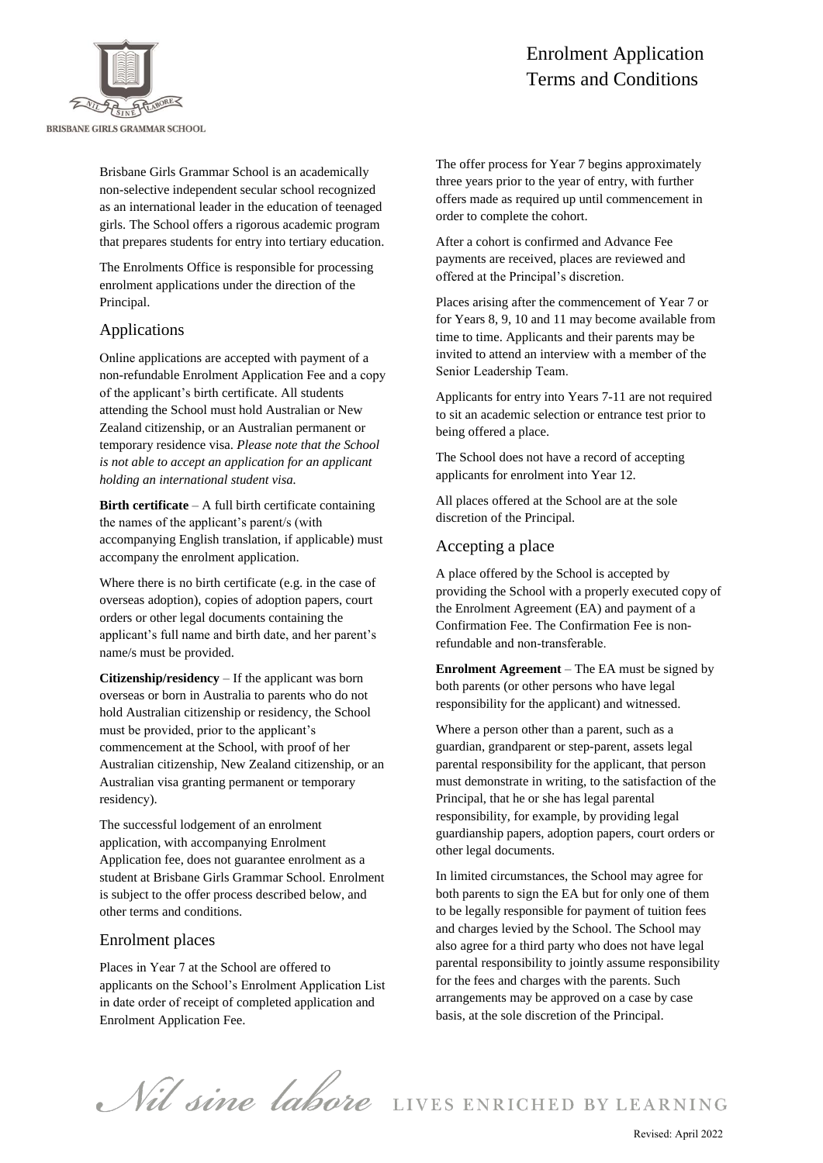

Brisbane Girls Grammar School is an academically non-selective independent secular school recognized as an international leader in the education of teenaged girls. The School offers a rigorous academic program that prepares students for entry into tertiary education.

The Enrolments Office is responsible for processing enrolment applications under the direction of the Principal.

#### Applications

Online applications are accepted with payment of a non-refundable Enrolment Application Fee and a copy of the applicant's birth certificate. All students attending the School must hold Australian or New Zealand citizenship, or an Australian permanent or temporary residence visa. *Please note that the School is not able to accept an application for an applicant holding an international student visa.*

**Birth certificate** – A full birth certificate containing the names of the applicant's parent/s (with accompanying English translation, if applicable) must accompany the enrolment application.

Where there is no birth certificate (e.g. in the case of overseas adoption), copies of adoption papers, court orders or other legal documents containing the applicant's full name and birth date, and her parent's name/s must be provided.

**Citizenship/residency** – If the applicant was born overseas or born in Australia to parents who do not hold Australian citizenship or residency, the School must be provided, prior to the applicant's commencement at the School, with proof of her Australian citizenship, New Zealand citizenship, or an Australian visa granting permanent or temporary residency).

The successful lodgement of an enrolment application, with accompanying Enrolment Application fee, does not guarantee enrolment as a student at Brisbane Girls Grammar School. Enrolment is subject to the offer process described below, and other terms and conditions.

#### Enrolment places

Places in Year 7 at the School are offered to applicants on the School's Enrolment Application List in date order of receipt of completed application and Enrolment Application Fee.

# Enrolment Application Terms and Conditions

The offer process for Year 7 begins approximately three years prior to the year of entry, with further offers made as required up until commencement in order to complete the cohort.

After a cohort is confirmed and Advance Fee payments are received, places are reviewed and offered at the Principal's discretion.

Places arising after the commencement of Year 7 or for Years 8, 9, 10 and 11 may become available from time to time. Applicants and their parents may be invited to attend an interview with a member of the Senior Leadership Team.

Applicants for entry into Years 7-11 are not required to sit an academic selection or entrance test prior to being offered a place.

The School does not have a record of accepting applicants for enrolment into Year 12.

All places offered at the School are at the sole discretion of the Principal.

#### Accepting a place

A place offered by the School is accepted by providing the School with a properly executed copy of the Enrolment Agreement (EA) and payment of a Confirmation Fee. The Confirmation Fee is nonrefundable and non-transferable.

**Enrolment Agreement** – The EA must be signed by both parents (or other persons who have legal responsibility for the applicant) and witnessed.

Where a person other than a parent, such as a guardian, grandparent or step-parent, assets legal parental responsibility for the applicant, that person must demonstrate in writing, to the satisfaction of the Principal, that he or she has legal parental responsibility, for example, by providing legal guardianship papers, adoption papers, court orders or other legal documents.

In limited circumstances, the School may agree for both parents to sign the EA but for only one of them to be legally responsible for payment of tuition fees and charges levied by the School. The School may also agree for a third party who does not have legal parental responsibility to jointly assume responsibility for the fees and charges with the parents. Such arrangements may be approved on a case by case basis, at the sole discretion of the Principal.

Nil sine labore LIVES ENRICHED BY LEARNING

Revised: April 2022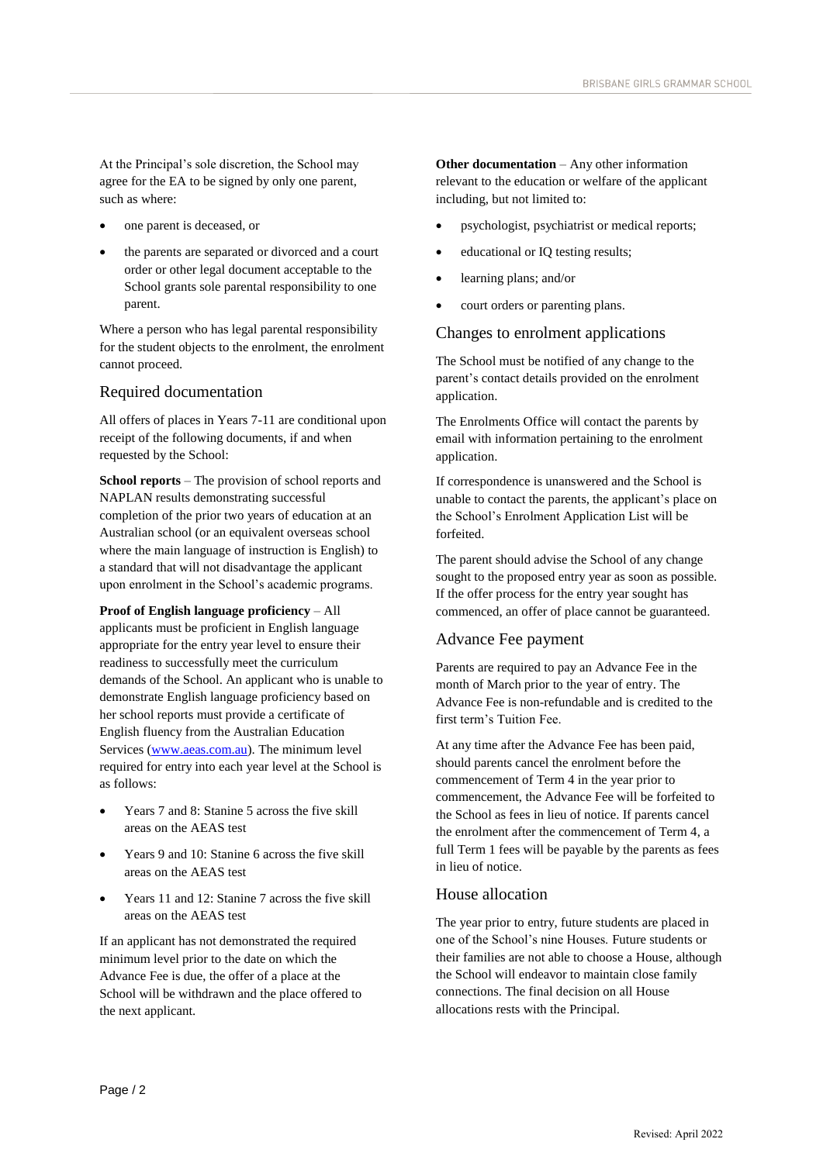At the Principal's sole discretion, the School may agree for the EA to be signed by only one parent, such as where:

one parent is deceased, or

<u>report to the Board of Trustees and Trustees and Trustees and Trustees and Trustees and Trustees and Trustees</u>

 the parents are separated or divorced and a court order or other legal document acceptable to the School grants sole parental responsibility to one parent.

Where a person who has legal parental responsibility for the student objects to the enrolment, the enrolment cannot proceed.

# Required documentation

All offers of places in Years 7-11 are conditional upon receipt of the following documents, if and when requested by the School:

**School reports** – The provision of school reports and NAPLAN results demonstrating successful completion of the prior two years of education at an Australian school (or an equivalent overseas school where the main language of instruction is English) to a standard that will not disadvantage the applicant upon enrolment in the School's academic programs.

**Proof of English language proficiency** – All applicants must be proficient in English language appropriate for the entry year level to ensure their readiness to successfully meet the curriculum demands of the School. An applicant who is unable to demonstrate English language proficiency based on her school reports must provide a certificate of English fluency from the Australian Education Services [\(www.aeas.com.au\)](http://www.aeas.com.au/). The minimum level required for entry into each year level at the School is as follows:

- Years 7 and 8: Stanine 5 across the five skill areas on the AEAS test
- Years 9 and 10: Stanine 6 across the five skill areas on the AEAS test
- Years 11 and 12: Stanine 7 across the five skill areas on the AEAS test

If an applicant has not demonstrated the required minimum level prior to the date on which the Advance Fee is due, the offer of a place at the School will be withdrawn and the place offered to the next applicant.

**Other documentation** – Any other information relevant to the education or welfare of the applicant including, but not limited to:

- psychologist, psychiatrist or medical reports;
- educational or IQ testing results;
- learning plans; and/or
- court orders or parenting plans.

#### Changes to enrolment applications

The School must be notified of any change to the parent's contact details provided on the enrolment application.

The Enrolments Office will contact the parents by email with information pertaining to the enrolment application.

If correspondence is unanswered and the School is unable to contact the parents, the applicant's place on the School's Enrolment Application List will be forfeited.

The parent should advise the School of any change sought to the proposed entry year as soon as possible. If the offer process for the entry year sought has commenced, an offer of place cannot be guaranteed.

# Advance Fee payment

Parents are required to pay an Advance Fee in the month of March prior to the year of entry. The Advance Fee is non-refundable and is credited to the first term's Tuition Fee.

At any time after the Advance Fee has been paid, should parents cancel the enrolment before the commencement of Term 4 in the year prior to commencement, the Advance Fee will be forfeited to the School as fees in lieu of notice. If parents cancel the enrolment after the commencement of Term 4, a full Term 1 fees will be payable by the parents as fees in lieu of notice.

#### House allocation

The year prior to entry, future students are placed in one of the School's nine Houses. Future students or their families are not able to choose a House, although the School will endeavor to maintain close family connections. The final decision on all House allocations rests with the Principal.